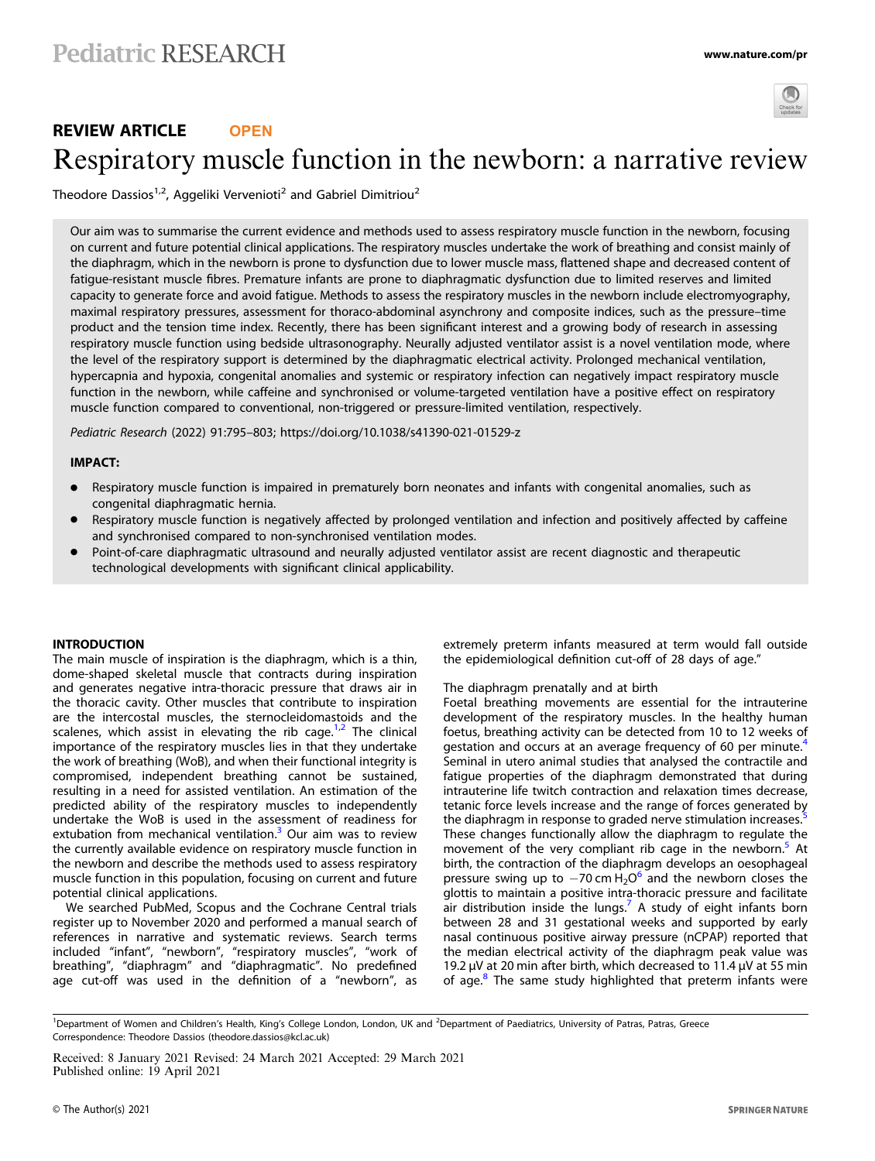

# REVIEW ARTICLE **OPEN** Respiratory muscle function in the newborn: a narrative revie[w](http://crossmark.crossref.org/dialog/?doi=10.1038/s41390-021-01529-z&domain=pdf)

Theodore Dassios<sup>1,2</sup>, Aggeliki Vervenioti<sup>2</sup> and Gabriel Dimitriou<sup>2</sup>

Our aim was to summarise the current evidence and methods used to assess respiratory muscle function in the newborn, focusing on current and future potential clinical applications. The respiratory muscles undertake the work of breathing and consist mainly of the diaphragm, which in the newborn is prone to dysfunction due to lower muscle mass, flattened shape and decreased content of fatigue-resistant muscle fibres. Premature infants are prone to diaphragmatic dysfunction due to limited reserves and limited capacity to generate force and avoid fatigue. Methods to assess the respiratory muscles in the newborn include electromyography, maximal respiratory pressures, assessment for thoraco-abdominal asynchrony and composite indices, such as the pressure–time product and the tension time index. Recently, there has been significant interest and a growing body of research in assessing respiratory muscle function using bedside ultrasonography. Neurally adjusted ventilator assist is a novel ventilation mode, where the level of the respiratory support is determined by the diaphragmatic electrical activity. Prolonged mechanical ventilation, hypercapnia and hypoxia, congenital anomalies and systemic or respiratory infection can negatively impact respiratory muscle function in the newborn, while caffeine and synchronised or volume-targeted ventilation have a positive effect on respiratory muscle function compared to conventional, non-triggered or pressure-limited ventilation, respectively.

Pediatric Research (2022) 91:795–803; https://doi.org/10.1038/s41390-021-01529-z

# IMPACT:

- Respiratory muscle function is impaired in prematurely born neonates and infants with congenital anomalies, such as congenital diaphragmatic hernia.
- Respiratory muscle function is negatively affected by prolonged ventilation and infection and positively affected by caffeine and synchronised compared to non-synchronised ventilation modes.
- Point-of-care diaphragmatic ultrasound and neurally adjusted ventilator assist are recent diagnostic and therapeutic technological developments with significant clinical applicability.

### INTRODUCTION

The main muscle of inspiration is the diaphragm, which is a thin, dome-shaped skeletal muscle that contracts during inspiration and generates negative intra-thoracic pressure that draws air in the thoracic cavity. Other muscles that contribute to inspiration are the intercostal muscles, the sternocleidomastoids and the scalenes, which assist in elevating the rib cage.<sup>[1,2](#page-6-0)</sup> The clinical importance of the respiratory muscles lies in that they undertake the work of breathing (WoB), and when their functional integrity is compromised, independent breathing cannot be sustained, resulting in a need for assisted ventilation. An estimation of the predicted ability of the respiratory muscles to independently undertake the WoB is used in the assessment of readiness for extubation from mechanical ventilation.<sup>[3](#page-6-0)</sup> Our aim was to review the currently available evidence on respiratory muscle function in the newborn and describe the methods used to assess respiratory muscle function in this population, focusing on current and future potential clinical applications.

We searched PubMed, Scopus and the Cochrane Central trials register up to November 2020 and performed a manual search of references in narrative and systematic reviews. Search terms included "infant", "newborn", "respiratory muscles", "work of breathing", "diaphragm" and "diaphragmatic". No predefined age cut-off was used in the definition of a "newborn", as extremely preterm infants measured at term would fall outside the epidemiological definition cut-off of 28 days of age."

### The diaphragm prenatally and at birth

Foetal breathing movements are essential for the intrauterine development of the respiratory muscles. In the healthy human foetus, breathing activity can be detected from 10 to 12 weeks of gestation and occurs at an average frequency of 60 per minute.<sup>[4](#page-6-0)</sup> Seminal in utero animal studies that analysed the contractile and fatigue properties of the diaphragm demonstrated that during intrauterine life twitch contraction and relaxation times decrease, tetanic force levels increase and the range of forces generated by the diaphragm in response to graded nerve stimulation increases. These changes functionally allow the diaphragm to regulate the movement of the very compliant rib cage in the newborn.<sup>[5](#page-6-0)</sup> At birth, the contraction of the diaphragm develops an oesophageal pressure swing up to  $-70$  cm H<sub>2</sub>O<sup>[6](#page-6-0)</sup> and the newborn closes the glottis to maintain a positive intra-thoracic pressure and facilitate air distribution inside the lungs.<sup> $\prime$ </sup> A study of eight infants born between 28 and 31 gestational weeks and supported by early nasal continuous positive airway pressure (nCPAP) reported that the median electrical activity of the diaphragm peak value was 19.2 μV at 20 min after birth, which decreased to 11.4  $\mu$ V at 55 min of age.<sup>[8](#page-6-0)</sup> The same study highlighted that preterm infants were

<sup>&</sup>lt;sup>1</sup>Department of Women and Children's Health, King's College London, London, UK and <sup>2</sup>Department of Paediatrics, University of Patras, Patras, Greece Correspondence: Theodore Dassios ([theodore.dassios@kcl.ac.uk](mailto:theodore.dassios@kcl.ac.uk))

Received: 8 January 2021 Revised: 24 March 2021 Accepted: 29 March 2021 Published online: 19 April 2021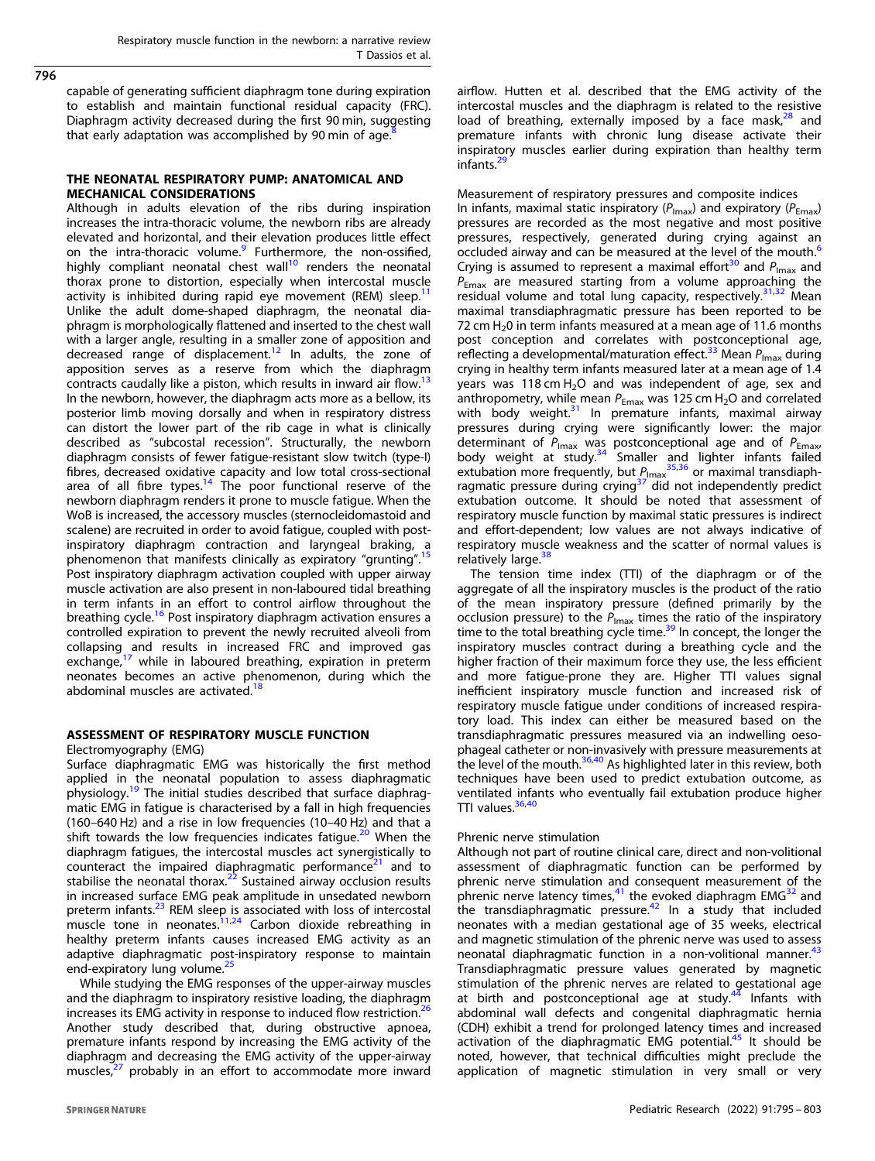capable of generating sufficient diaphragm tone during expiration to establish and maintain functional residual capacity (FRC). Diaphragm activity decreased during the first 90 min, suggesting that early adaptation was accomplished by 90 min of age.

# THE NEONATAL RESPIRATORY PUMP: ANATOMICAL AND MECHANICAL CONSIDERATIONS

Although in adults elevation of the ribs during inspiration increases the intra-thoracic volume, the newborn ribs are already elevated and horizontal, and their elevation produces little effect on the intra-thoracic volume.<sup>9</sup> Furthermore, the non-ossified, highly compliant neonatal chest wall $10$  renders the neonatal thorax prone to distortion, especially when intercostal muscle activity is inhibited during rapid eye movement (REM) sleep.<sup>1</sup> Unlike the adult dome-shaped diaphragm, the neonatal diaphragm is morphologically flattened and inserted to the chest wall with a larger angle, resulting in a smaller zone of apposition and decreased range of displacement.<sup>[12](#page-6-0)</sup> In adults, the zone of apposition serves as a reserve from which the diaphragm contracts caudally like a piston, which results in inward air flow.<sup>[13](#page-6-0)</sup> In the newborn, however, the diaphragm acts more as a bellow, its posterior limb moving dorsally and when in respiratory distress can distort the lower part of the rib cage in what is clinically described as "subcostal recession". Structurally, the newborn diaphragm consists of fewer fatigue-resistant slow twitch (type-I) fibres, decreased oxidative capacity and low total cross-sectional area of all fibre types.<sup>[14](#page-6-0)</sup> The poor functional reserve of the newborn diaphragm renders it prone to muscle fatigue. When the WoB is increased, the accessory muscles (sternocleidomastoid and scalene) are recruited in order to avoid fatigue, coupled with postinspiratory diaphragm contraction and laryngeal braking, a phenomenon that manifests clinically as expiratory "grunting"<sup>[15](#page-6-0)</sup> Post inspiratory diaphragm activation coupled with upper airway muscle activation are also present in non-laboured tidal breathing in term infants in an effort to control airflow throughout the breathing cycle.<sup>[16](#page-6-0)</sup> Post inspiratory diaphragm activation ensures a controlled expiration to prevent the newly recruited alveoli from collapsing and results in increased FRC and improved gas exchange, $17$  while in laboured breathing, expiration in preterm neonates becomes an active phenomenon, during which the abdominal muscles are activated.<sup>[18](#page-6-0)</sup>

# ASSESSMENT OF RESPIRATORY MUSCLE FUNCTION

Electromyography (EMG)

Surface diaphragmatic EMG was historically the first method applied in the neonatal population to assess diaphragmatic physiology.[19](#page-6-0) The initial studies described that surface diaphragmatic EMG in fatigue is characterised by a fall in high frequencies (160–640 Hz) and a rise in low frequencies (10–40 Hz) and that a shift towards the low frequencies indicates fatigue.<sup>[20](#page-6-0)</sup> When the diaphragm fatigues, the intercostal muscles act synergistically to counteract the impaired diaphragmatic performance<sup>[21](#page-7-0)</sup> and to stabilise the neonatal thorax.<sup>[22](#page-7-0)</sup> Sustained airway occlusion results in increased surface EMG peak amplitude in unsedated newborn preterm infants.<sup>[23](#page-7-0)</sup> REM sleep is associated with loss of intercostal muscle tone in neonates.<sup>[11](#page-6-0),[24](#page-7-0)</sup> Carbon dioxide rebreathing in healthy preterm infants causes increased EMG activity as an adaptive diaphragmatic post-inspiratory response to maintain end-expiratory lung volume.<sup>[25](#page-7-0)</sup>

While studying the EMG responses of the upper-airway muscles and the diaphragm to inspiratory resistive loading, the diaphragm increases its EMG activity in response to induced flow restriction.<sup>[26](#page-7-0)</sup> Another study described that, during obstructive apnoea, premature infants respond by increasing the EMG activity of the diaphragm and decreasing the EMG activity of the upper-airway muscles,<sup>[27](#page-7-0)</sup> probably in an effort to accommodate more inward airflow. Hutten et al. described that the EMG activity of the intercostal muscles and the diaphragm is related to the resistive load of breathing, externally imposed by a face mask, $28$  and premature infants with chronic lung disease activate their inspiratory muscles earlier during expiration than healthy term infants.<sup>2</sup>

# Measurement of respiratory pressures and composite indices

In infants, maximal static inspiratory ( $P_{\text{Imax}}$ ) and expiratory ( $P_{\text{Emax}}$ ) pressures are recorded as the most negative and most positive pressures, respectively, generated during crying against an occluded airway and can be measured at the level of the mouth.<sup>[6](#page-6-0)</sup> Crying is assumed to represent a maximal effort<sup>[30](#page-7-0)</sup> and  $P_{\text{Imax}}$  and  $P_{\text{Fmax}}$  are measured starting from a volume approaching the residual volume and total lung capacity, respectively.<sup>[31](#page-7-0),[32](#page-7-0)</sup> Mean maximal transdiaphragmatic pressure has been reported to be 72 cm  $H<sub>2</sub>0$  in term infants measured at a mean age of 11.6 months post conception and correlates with postconceptional age, reflecting a developmental/maturation effect.<sup>[33](#page-7-0)</sup> Mean  $P_{\text{Imax}}$  during crying in healthy term infants measured later at a mean age of 1.4 years was 118 cm  $H_2O$  and was independent of age, sex and anthropometry, while mean  $P_{\text{Emax}}$  was 125 cm H<sub>2</sub>O and correlated with body weight.<sup>31</sup> In premature infants, maximal airway pressures during crying were significantly lower: the major determinant of P<sub>Imax</sub> was postconceptional age and of P<sub>Emax</sub>, body weight at study.<sup>34</sup> Smaller and lighter infants failed extubation more frequently, but  $P_{\text{Imax}}^{35,36}$  $P_{\text{Imax}}^{35,36}$  $P_{\text{Imax}}^{35,36}$  or maximal transdiaph-ragmatic pressure during crying<sup>[37](#page-7-0)"</sup>did not independently predict extubation outcome. It should be noted that assessment of respiratory muscle function by maximal static pressures is indirect and effort-dependent; low values are not always indicative of respiratory muscle weakness and the scatter of normal values is relatively large.<sup>[38](#page-7-0)</sup>

The tension time index (TTI) of the diaphragm or of the aggregate of all the inspiratory muscles is the product of the ratio of the mean inspiratory pressure (defined primarily by the occlusion pressure) to the  $P_{\text{Imax}}$  times the ratio of the inspiratory time to the total breathing cycle time.<sup>39</sup> In concept, the longer the inspiratory muscles contract during a breathing cycle and the higher fraction of their maximum force they use, the less efficient and more fatigue-prone they are. Higher TTI values signal inefficient inspiratory muscle function and increased risk of respiratory muscle fatigue under conditions of increased respiratory load. This index can either be measured based on the transdiaphragmatic pressures measured via an indwelling oesophageal catheter or non-invasively with pressure measurements at the level of the mouth. $36,40$  As highlighted later in this review, both techniques have been used to predict extubation outcome, as ventilated infants who eventually fail extubation produce higher TTI values. $36,40$  $36,40$  $36,40$ 

### Phrenic nerve stimulation

Although not part of routine clinical care, direct and non-volitional assessment of diaphragmatic function can be performed by phrenic nerve stimulation and consequent measurement of the phrenic nerve latency times, $41$  the evoked diaphragm EMG $32$  and the transdiaphragmatic pressure. $42$  In a study that included neonates with a median gestational age of 35 weeks, electrical and magnetic stimulation of the phrenic nerve was used to assess neonatal diaphragmatic function in a non-volitional manner.<sup>[43](#page-7-0)</sup> Transdiaphragmatic pressure values generated by magnetic stimulation of the phrenic nerves are related to gestational age<br>at birth and postconceptional age at study.<sup>[44](#page-7-0)</sup> Infants with abdominal wall defects and congenital diaphragmatic hernia (CDH) exhibit a trend for prolonged latency times and increased activation of the diaphragmatic EMG potential.<sup>45</sup> It should be noted, however, that technical difficulties might preclude the application of magnetic stimulation in very small or very

796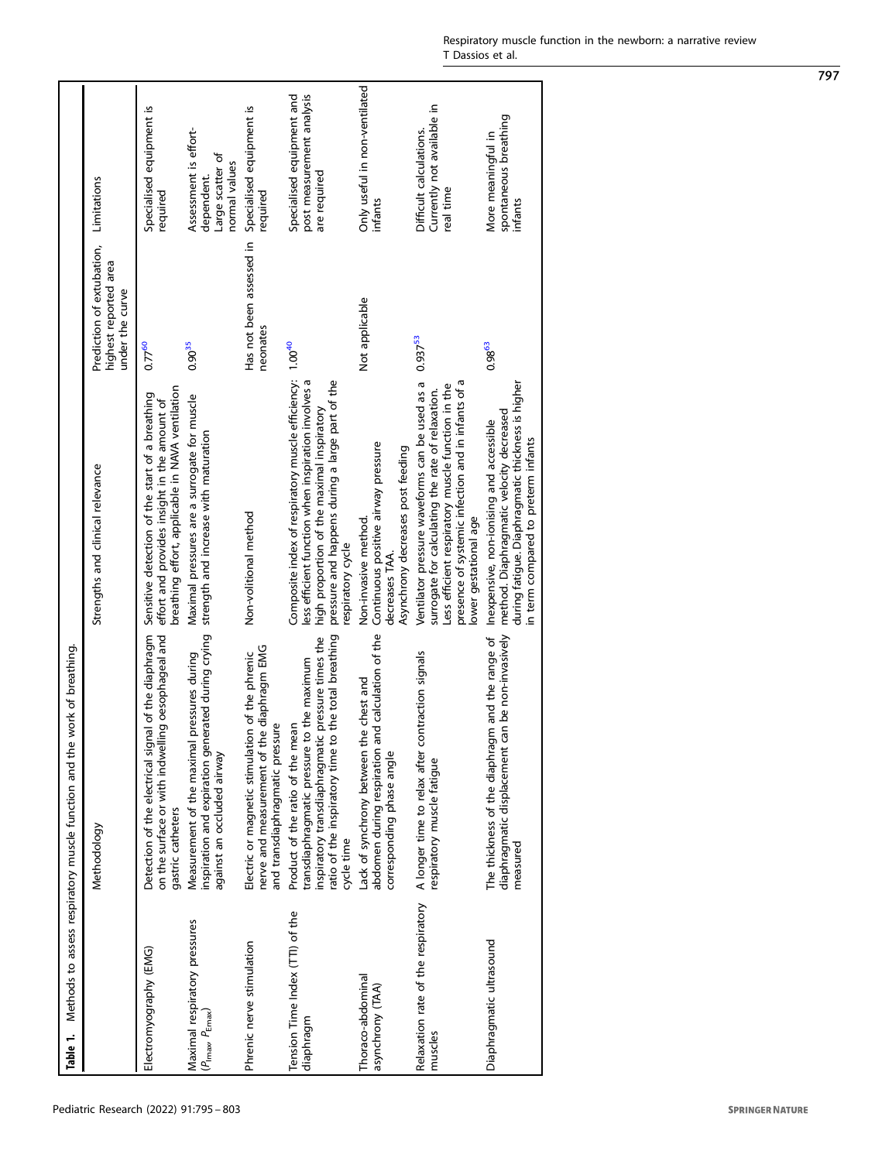<span id="page-2-0"></span>

| Table 1.                                               | work of breathing.<br>Methods to assess respiratory muscle function and the                                                                                                                               |                                                                                                                                                                                                                                                  |                                                                       |                                                                          |
|--------------------------------------------------------|-----------------------------------------------------------------------------------------------------------------------------------------------------------------------------------------------------------|--------------------------------------------------------------------------------------------------------------------------------------------------------------------------------------------------------------------------------------------------|-----------------------------------------------------------------------|--------------------------------------------------------------------------|
|                                                        | Methodology                                                                                                                                                                                               | Strengths and clinical relevance                                                                                                                                                                                                                 | Prediction of extubation,<br>highest reported area<br>under the curve | Limitations                                                              |
| Electromyography (EMG)                                 | Detection of the electrical signal of the diaphragm<br>on the surface or with indwelling oesophageal and<br>gastric catheters                                                                             | breathing effort, applicable in NAVA ventilation<br>Sensitive detection of the start of a breathing<br>effort and provides insight in the amount of                                                                                              | $0.77^{60}$                                                           | Specialised equipment is<br>required                                     |
| Maximal respiratory pressures<br>$(P_{lmax} P_{Emax})$ | inspiration and expiration generated during crying<br>pressures during<br>Measurement of the maximal<br>against an occluded airway                                                                        | Maximal pressures are a surrogate for muscle<br>strength and increase with maturation                                                                                                                                                            | $0.90^{35}$                                                           | Assessment is effort-<br>Large scatter of<br>normal values<br>dependent. |
| Phrenic nerve stimulation                              | nerve and measurement of the diaphragm EMG<br>Electric or magnetic stimulation of the phrenic<br>and transdiaphragmatic pressure                                                                          | Non-volitional method                                                                                                                                                                                                                            | Has not been assessed in<br>neonates                                  | Specialised equipment is<br>required                                     |
| Tension Time Index (TTI) of the<br>diaphragm           | ratio of the inspiratory time to the total breathing<br>inspiratory transdiaphragmatic pressure times the<br>the maximum<br>Product of the ratio of the mean<br>transdiaphragmatic pressure<br>cycle time | Composite index of respiratory muscle efficiency: 1.00 <sup>40</sup><br>pressure and happens during a large part of the<br>ess efficient function when inspiration involves a<br>high proportion of the maximal inspiratory<br>respiratory cycle |                                                                       | post measurement analysis<br>Specialised equipment and<br>are required   |
| Thoraco-abdominal<br>asynchrony (TAA)                  | abdomen during respiration and calculation of the<br>Lack of synchrony between the chest and<br>corresponding phase angle                                                                                 | Continuous positive airway pressure<br>Asynchrony decreases post feeding<br>Non-invasive method.<br>decreases TAA.                                                                                                                               | Not applicable                                                        | Only useful in non-ventilated<br>infants                                 |
| Relaxation rate of the respiratory<br>muscles          | A longer time to relax after contraction signals<br>respiratory muscle fatigue                                                                                                                            | presence of systemic infection and in infants of a<br>Ventilator pressure waveforms can be used as a<br>Less efficient respiratory muscle function in the<br>surrogate for calculating the rate of relaxation.<br>ower gestational age           | $0.937^{53}$                                                          | Currently not available in<br>Difficult calculations.<br>real time       |
| Diaphragmatic ultrasound                               | diaphragmatic displacement can be non-invasively<br>The thickness of the diaphragm and the range of<br>measured                                                                                           | during fatigue. Diaphragmatic thickness is higher<br>method. Diaphragmatic velocity decreased<br>Inexpensive, non-ionising and accessible<br>in term compared to preterm infants                                                                 | $0.98^{63}$                                                           | spontaneous breathing<br>More meaningful in<br>infants                   |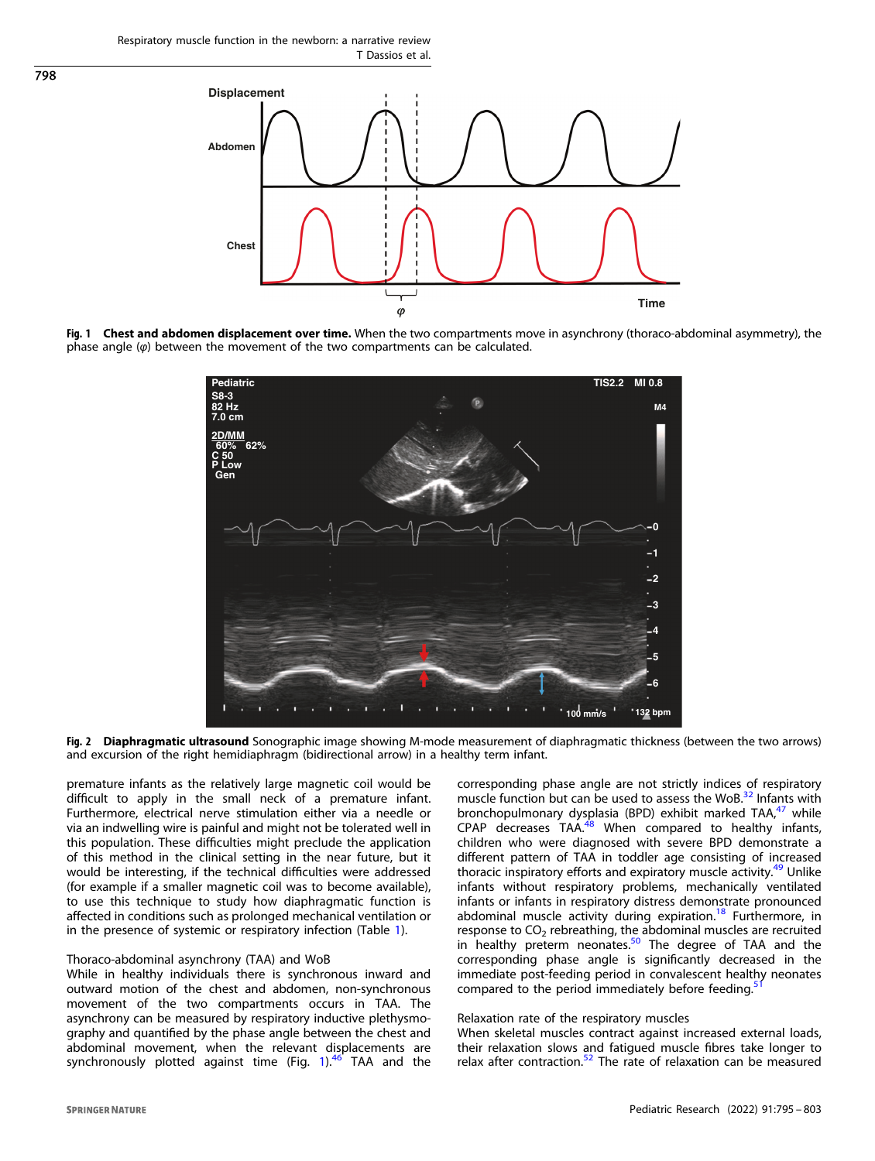<span id="page-3-0"></span>

Fig. 1 Chest and abdomen displacement over time. When the two compartments move in asynchrony (thoraco-abdominal asymmetry), the phase angle  $(\varphi)$  between the movement of the two compartments can be calculated.



Fig. 2 Diaphragmatic ultrasound Sonographic image showing M-mode measurement of diaphragmatic thickness (between the two arrows) and excursion of the right hemidiaphragm (bidirectional arrow) in a healthy term infant.

premature infants as the relatively large magnetic coil would be difficult to apply in the small neck of a premature infant. Furthermore, electrical nerve stimulation either via a needle or via an indwelling wire is painful and might not be tolerated well in this population. These difficulties might preclude the application of this method in the clinical setting in the near future, but it would be interesting, if the technical difficulties were addressed (for example if a smaller magnetic coil was to become available), to use this technique to study how diaphragmatic function is affected in conditions such as prolonged mechanical ventilation or in the presence of systemic or respiratory infection (Table [1](#page-2-0)).

# Thoraco-abdominal asynchrony (TAA) and WoB

While in healthy individuals there is synchronous inward and outward motion of the chest and abdomen, non-synchronous movement of the two compartments occurs in TAA. The asynchrony can be measured by respiratory inductive plethysmography and quantified by the phase angle between the chest and abdominal movement, when the relevant displacements are synchronously plotted against time (Fig.  $1$ ).<sup>[46](#page-7-0)</sup> TAA and the corresponding phase angle are not strictly indices of respiratory muscle function but can be used to assess the WoB.<sup>[32](#page-7-0)</sup> Infants with bronchopulmonary dysplasia (BPD) exhibit marked TAA,<sup>[47](#page-7-0)</sup> while CPAP decreases TAA.<sup>[48](#page-7-0)</sup> When compared to healthy infants, children who were diagnosed with severe BPD demonstrate a different pattern of TAA in toddler age consisting of increased thoracic inspiratory efforts and expiratory muscle activity.<sup>[49](#page-7-0)</sup> Unlike infants without respiratory problems, mechanically ventilated infants or infants in respiratory distress demonstrate pronounced abdominal muscle activity during expiration.<sup>[18](#page-6-0)</sup> Furthermore, in response to  $CO<sub>2</sub>$  rebreathing, the abdominal muscles are recruited in healthy preterm neonates.<sup>[50](#page-7-0)</sup> The degree of TAA and the corresponding phase angle is significantly decreased in the immediate post-feeding period in convalescent healthy neonates compared to the period immediately before feeding.

# Relaxation rate of the respiratory muscles

When skeletal muscles contract against increased external loads, their relaxation slows and fatigued muscle fibres take longer to relax after contraction. $52$  The rate of relaxation can be measured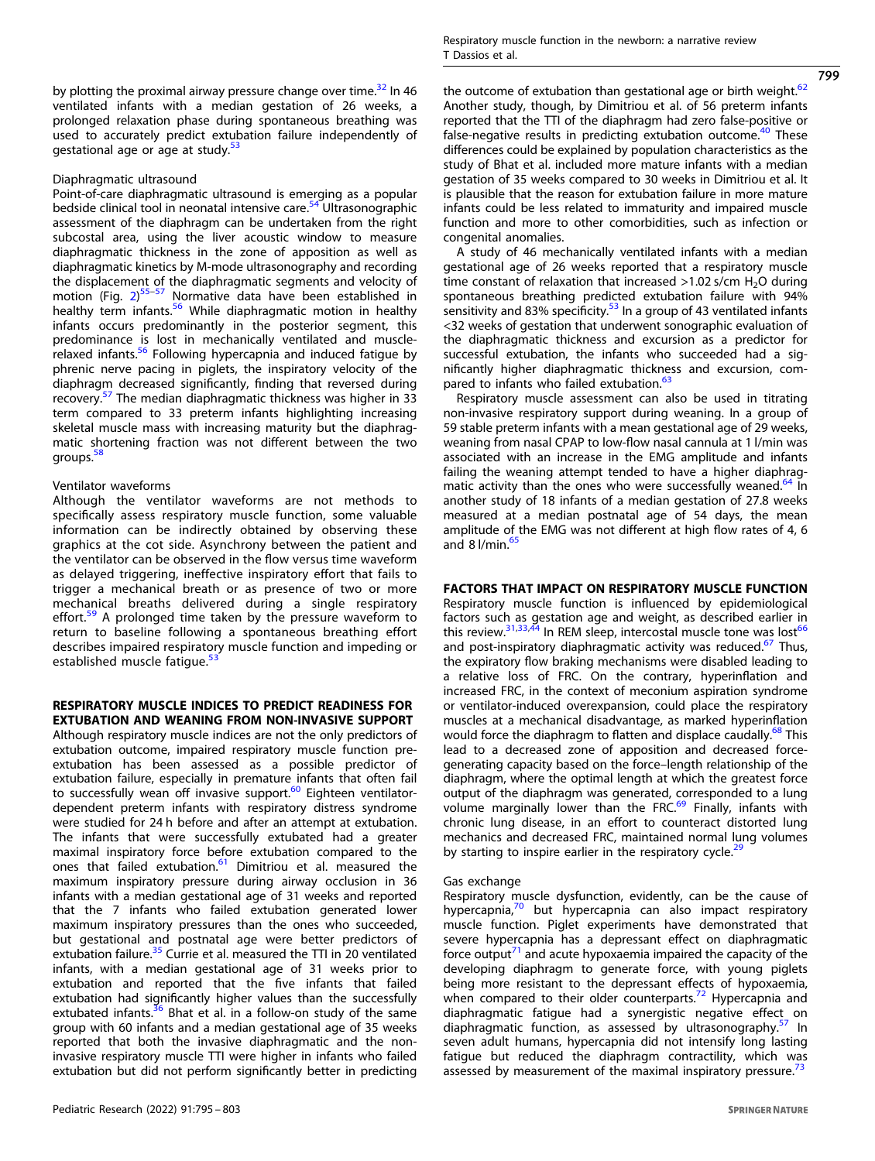by plotting the proximal airway pressure change over time.<sup>32</sup> In 46 ventilated infants with a median gestation of 26 weeks, a prolonged relaxation phase during spontaneous breathing was used to accurately predict extubation failure independently of gestational age or age at study.<sup>[53](#page-7-0)</sup>

### Diaphragmatic ultrasound

Point-of-care diaphragmatic ultrasound is emerging as a popular bedside clinical tool in neonatal intensive care.<sup>[54](#page-7-0)</sup> Ultrasonographic assessment of the diaphragm can be undertaken from the right subcostal area, using the liver acoustic window to measure diaphragmatic thickness in the zone of apposition as well as diaphragmatic kinetics by M-mode ultrasonography and recording the displacement of the diaphragmatic segments and velocity of motion (Fig. [2\)](#page-3-0) [55](#page-7-0)–[57](#page-7-0) Normative data have been established in healthy term infants.<sup>[56](#page-7-0)</sup> While diaphragmatic motion in healthy infants occurs predominantly in the posterior segment, this predominance is lost in mechanically ventilated and muscle-relaxed infants.<sup>[56](#page-7-0)</sup> Following hypercapnia and induced fatigue by phrenic nerve pacing in piglets, the inspiratory velocity of the diaphragm decreased significantly, finding that reversed during recovery.[57](#page-7-0) The median diaphragmatic thickness was higher in 33 term compared to 33 preterm infants highlighting increasing skeletal muscle mass with increasing maturity but the diaphragmatic shortening fraction was not different between the two groups.<sup>5</sup>

# Ventilator waveforms

Although the ventilator waveforms are not methods to specifically assess respiratory muscle function, some valuable information can be indirectly obtained by observing these graphics at the cot side. Asynchrony between the patient and the ventilator can be observed in the flow versus time waveform as delayed triggering, ineffective inspiratory effort that fails to trigger a mechanical breath or as presence of two or more mechanical breaths delivered during a single respiratory effort.<sup>[59](#page-7-0)</sup> A prolonged time taken by the pressure waveform to return to baseline following a spontaneous breathing effort describes impaired respiratory muscle function and impeding or established muscle fatique.<sup>[53](#page-7-0)</sup>

### RESPIRATORY MUSCLE INDICES TO PREDICT READINESS FOR EXTUBATION AND WEANING FROM NON-INVASIVE SUPPORT

Although respiratory muscle indices are not the only predictors of extubation outcome, impaired respiratory muscle function preextubation has been assessed as a possible predictor of extubation failure, especially in premature infants that often fail to successfully wean off invasive support. $60$  Eighteen ventilatordependent preterm infants with respiratory distress syndrome were studied for 24 h before and after an attempt at extubation. The infants that were successfully extubated had a greater maximal inspiratory force before extubation compared to the ones that failed extubation.<sup>[61](#page-7-0)</sup> Dimitriou et al. measured the maximum inspiratory pressure during airway occlusion in 36 infants with a median gestational age of 31 weeks and reported that the 7 infants who failed extubation generated lower maximum inspiratory pressures than the ones who succeeded, but gestational and postnatal age were better predictors of extubation failure.<sup>[35](#page-7-0)</sup> Currie et al. measured the TTI in 20 ventilated infants, with a median gestational age of 31 weeks prior to extubation and reported that the five infants that failed extubation had significantly higher values than the successfully extubated infants.<sup>[36](#page-7-0)</sup> Bhat et al. in a follow-on study of the same group with 60 infants and a median gestational age of 35 weeks reported that both the invasive diaphragmatic and the noninvasive respiratory muscle TTI were higher in infants who failed extubation but did not perform significantly better in predicting 799

the outcome of extubation than gestational age or birth weight.<sup>[62](#page-7-0)</sup> Another study, though, by Dimitriou et al. of 56 preterm infants reported that the TTI of the diaphragm had zero false-positive or false-negative results in predicting extubation outcome.<sup>[40](#page-7-0)</sup> These differences could be explained by population characteristics as the study of Bhat et al. included more mature infants with a median gestation of 35 weeks compared to 30 weeks in Dimitriou et al. It is plausible that the reason for extubation failure in more mature infants could be less related to immaturity and impaired muscle function and more to other comorbidities, such as infection or congenital anomalies.

A study of 46 mechanically ventilated infants with a median gestational age of 26 weeks reported that a respiratory muscle time constant of relaxation that increased  $>1.02$  s/cm H<sub>2</sub>O during spontaneous breathing predicted extubation failure with 94% sensitivity and 83% specificity. $53$  In a group of 43 ventilated infants <32 weeks of gestation that underwent sonographic evaluation of the diaphragmatic thickness and excursion as a predictor for successful extubation, the infants who succeeded had a significantly higher diaphragmatic thickness and excursion, com-pared to infants who failed extubation.<sup>[63](#page-7-0)</sup>

Respiratory muscle assessment can also be used in titrating non-invasive respiratory support during weaning. In a group of 59 stable preterm infants with a mean gestational age of 29 weeks, weaning from nasal CPAP to low-flow nasal cannula at 1 l/min was associated with an increase in the EMG amplitude and infants failing the weaning attempt tended to have a higher diaphrag-matic activity than the ones who were successfully weaned.<sup>[64](#page-7-0)</sup> In another study of 18 infants of a median gestation of 27.8 weeks measured at a median postnatal age of 54 days, the mean amplitude of the EMG was not different at high flow rates of 4, 6 and  $8$  l/min. $^{65}$  $^{65}$  $^{65}$ 

### FACTORS THAT IMPACT ON RESPIRATORY MUSCLE FUNCTION

Respiratory muscle function is influenced by epidemiological factors such as gestation age and weight, as described earlier in this review. $31,33,44$  $31,33,44$  $31,33,44$  $31,33,44$  $31,33,44$  In REM sleep, intercostal muscle tone was lost<sup>[66](#page-7-0)</sup> and post-inspiratory diaphragmatic activity was reduced. $67$  Thus, the expiratory flow braking mechanisms were disabled leading to a relative loss of FRC. On the contrary, hyperinflation and increased FRC, in the context of meconium aspiration syndrome or ventilator-induced overexpansion, could place the respiratory muscles at a mechanical disadvantage, as marked hyperinflation would force the diaphragm to flatten and displace caudally.<sup>[68](#page-7-0)</sup> This lead to a decreased zone of apposition and decreased forcegenerating capacity based on the force–length relationship of the diaphragm, where the optimal length at which the greatest force output of the diaphragm was generated, corresponded to a lung volume marginally lower than the FRC. $^{69}$  $^{69}$  $^{69}$  Finally, infants with chronic lung disease, in an effort to counteract distorted lung mechanics and decreased FRC, maintained normal lung volumes by starting to inspire earlier in the respiratory cycle.<sup>[29](#page-7-0)</sup>

### Gas exchange

Respiratory muscle dysfunction, evidently, can be the cause of hypercapnia,<sup>[70](#page-7-0)</sup> but hypercapnia can also impact respiratory muscle function. Piglet experiments have demonstrated that severe hypercapnia has a depressant effect on diaphragmatic force output<sup>[71](#page-7-0)</sup> and acute hypoxaemia impaired the capacity of the developing diaphragm to generate force, with young piglets being more resistant to the depressant effects of hypoxaemia, when compared to their older counterparts.<sup>[72](#page-7-0)</sup> Hypercapnia and diaphragmatic fatigue had a synergistic negative effect on diaphragmatic function, as assessed by ultrasonography.<sup>[57](#page-7-0)</sup> In seven adult humans, hypercapnia did not intensify long lasting fatigue but reduced the diaphragm contractility, which was assessed by measurement of the maximal inspiratory pressure.<sup>[73](#page-7-0)</sup>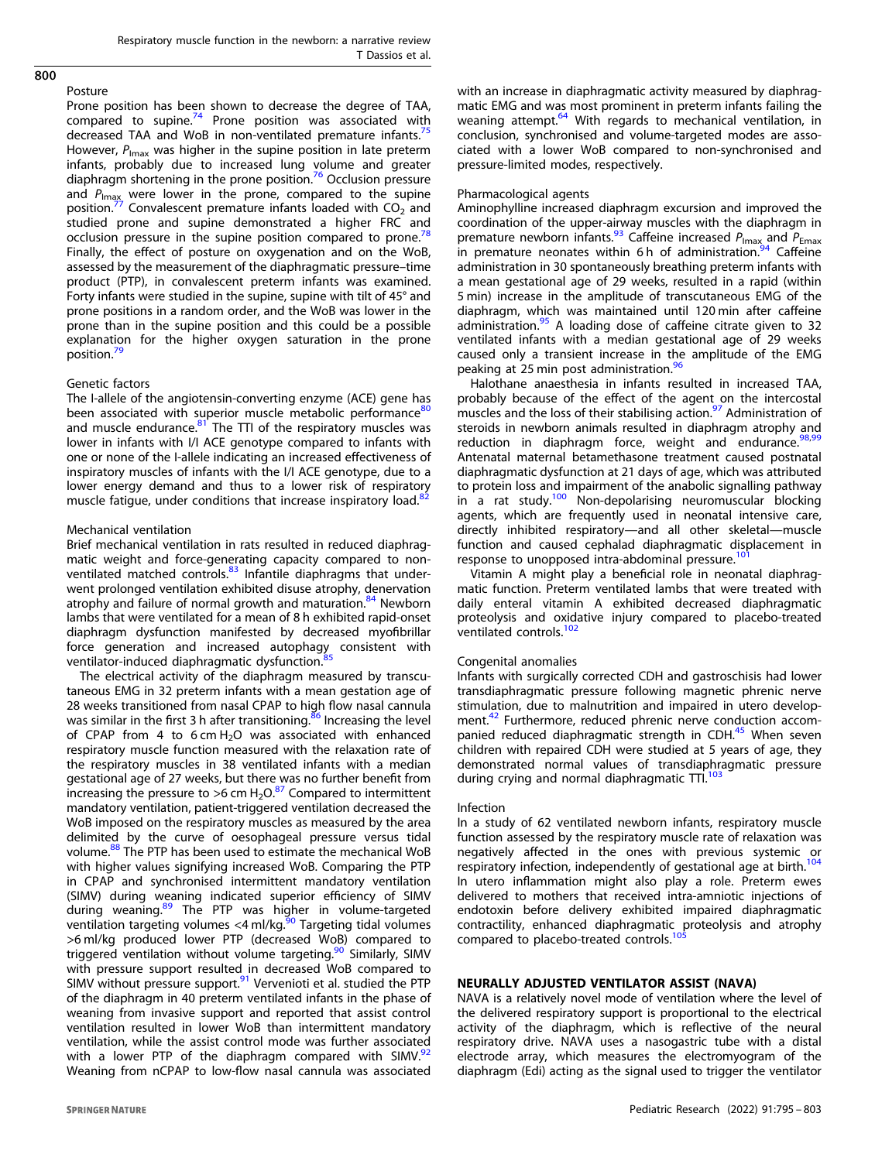Posture

Prone position has been shown to decrease the degree of TAA, compared to supine.<sup>[74](#page-7-0)</sup> Prone position was associated with decreased TAA and WoB in non-ventilated premature infants.<sup>[75](#page-7-0)</sup> However,  $P_{\text{max}}$  was higher in the supine position in late preterm infants, probably due to increased lung volume and greater diaphragm shortening in the prone position.[76](#page-7-0) Occlusion pressure and  $P_{\text{Imax}}$  were lower in the prone, compared to the supine position.<sup>[77](#page-8-0)</sup> Convalescent premature infants loaded with CO<sub>2</sub> and studied prone and supine demonstrated a higher FRC and occlusion pressure in the supine position compared to prone.<sup>[78](#page-8-0)</sup> Finally, the effect of posture on oxygenation and on the WoB, assessed by the measurement of the diaphragmatic pressure–time product (PTP), in convalescent preterm infants was examined. Forty infants were studied in the supine, supine with tilt of 45° and prone positions in a random order, and the WoB was lower in the prone than in the supine position and this could be a possible explanation for the higher oxygen saturation in the prone position.<sup>[79](#page-8-0)</sup>

# Genetic factors

The I-allele of the angiotensin-converting enzyme (ACE) gene has been associated with superior muscle metabolic performance<sup>[80](#page-8-0)</sup> and muscle endurance. $81$  The TTI of the respiratory muscles was lower in infants with I/I ACE genotype compared to infants with one or none of the I-allele indicating an increased effectiveness of inspiratory muscles of infants with the I/I ACE genotype, due to a lower energy demand and thus to a lower risk of respiratory muscle fatigue, under conditions that increase inspiratory load.<sup>[82](#page-8-0)</sup>

### Mechanical ventilation

Brief mechanical ventilation in rats resulted in reduced diaphragmatic weight and force-generating capacity compared to non-ventilated matched controls.<sup>[83](#page-8-0)</sup> Infantile diaphragms that underwent prolonged ventilation exhibited disuse atrophy, denervation atrophy and failure of normal growth and maturation.<sup>[84](#page-8-0)</sup> Newborn lambs that were ventilated for a mean of 8 h exhibited rapid-onset diaphragm dysfunction manifested by decreased myofibrillar force generation and increased autophagy consistent with ventilator-induced diaphragmatic dysfunction.

The electrical activity of the diaphragm measured by transcutaneous EMG in 32 preterm infants with a mean gestation age of 28 weeks transitioned from nasal CPAP to high flow nasal cannula was similar in the first 3 h after transitioning.<sup>[86](#page-8-0)</sup> Increasing the level of CPAP from 4 to  $6$  cm H<sub>2</sub>O was associated with enhanced respiratory muscle function measured with the relaxation rate of the respiratory muscles in 38 ventilated infants with a median gestational age of 27 weeks, but there was no further benefit from increasing the pressure to >6 cm  $H_2O^{87}$  $H_2O^{87}$  $H_2O^{87}$  Compared to intermittent mandatory ventilation, patient-triggered ventilation decreased the WoB imposed on the respiratory muscles as measured by the area delimited by the curve of oesophageal pressure versus tidal volume.<sup>88</sup> The PTP has been used to estimate the mechanical WoB with higher values signifying increased WoB. Comparing the PTP in CPAP and synchronised intermittent mandatory ventilation (SIMV) during weaning indicated superior efficiency of SIMV during weaning.<sup>[89](#page-8-0)</sup> The PTP was higher in volume-targeted ventilation targeting volumes <4 ml/kg.<sup>30</sup> Targeting tidal volumes >6 ml/kg produced lower PTP (decreased WoB) compared to triggered ventilation without volume targeting.<sup>[90](#page-8-0)</sup> Similarly, SIMV with pressure support resulted in decreased WoB compared to SIMV without pressure support.<sup>[91](#page-8-0)</sup> Vervenioti et al. studied the PTP of the diaphragm in 40 preterm ventilated infants in the phase of weaning from invasive support and reported that assist control ventilation resulted in lower WoB than intermittent mandatory ventilation, while the assist control mode was further associated with a lower PTP of the diaphragm compared with SIMV. $^{92}$  $^{92}$  $^{92}$ Weaning from nCPAP to low-flow nasal cannula was associated

with an increase in diaphragmatic activity measured by diaphragmatic EMG and was most prominent in preterm infants failing the weaning attempt.<sup>[64](#page-7-0)</sup> With regards to mechanical ventilation, in conclusion, synchronised and volume-targeted modes are associated with a lower WoB compared to non-synchronised and pressure-limited modes, respectively.

### Pharmacological agents

Aminophylline increased diaphragm excursion and improved the coordination of the upper-airway muscles with the diaphragm in premature newborn infants.<sup>[93](#page-8-0)</sup> Caffeine increased  $P_{\text{Imax}}$  and  $P_{\text{Emax}}$ in premature neonates within 6h of administration.<sup>[94](#page-8-0)</sup> Caffeine administration in 30 spontaneously breathing preterm infants with a mean gestational age of 29 weeks, resulted in a rapid (within 5 min) increase in the amplitude of transcutaneous EMG of the diaphragm, which was maintained until 120 min after caffeine administration.<sup>[95](#page-8-0)</sup> A loading dose of caffeine citrate given to 32 ventilated infants with a median gestational age of 29 weeks caused only a transient increase in the amplitude of the EMG peaking at 25 min post administration.<sup>[96](#page-8-0)</sup>

Halothane anaesthesia in infants resulted in increased TAA, probably because of the effect of the agent on the intercostal muscles and the loss of their stabilising action.<sup>[97](#page-8-0)</sup> Administration of steroids in newborn animals resulted in diaphragm atrophy and reduction in diaphragm force, weight and endurance. $98,99$  $98,99$  $98,99$ Antenatal maternal betamethasone treatment caused postnatal diaphragmatic dysfunction at 21 days of age, which was attributed to protein loss and impairment of the anabolic signalling pathway in a rat study.<sup>[100](#page-8-0)</sup> Non-depolarising neuromuscular blocking agents, which are frequently used in neonatal intensive care, directly inhibited respiratory—and all other skeletal—muscle function and caused cephalad diaphragmatic displacement in response to unopposed intra-abdominal pressure.<sup>1</sup>

Vitamin A might play a beneficial role in neonatal diaphragmatic function. Preterm ventilated lambs that were treated with daily enteral vitamin A exhibited decreased diaphragmatic proteolysis and oxidative injury compared to placebo-treated ventilated controls.<sup>[102](#page-8-0)</sup>

### Congenital anomalies

Infants with surgically corrected CDH and gastroschisis had lower transdiaphragmatic pressure following magnetic phrenic nerve stimulation, due to malnutrition and impaired in utero develop-ment.<sup>[42](#page-7-0)</sup> Furthermore, reduced phrenic nerve conduction accom-panied reduced diaphragmatic strength in CDH.<sup>[45](#page-7-0)</sup> When seven children with repaired CDH were studied at 5 years of age, they demonstrated normal values of transdiaphragmatic pressure during crying and normal diaphragmatic TTI.<sup>[103](#page-8-0)</sup>

# Infection

In a study of 62 ventilated newborn infants, respiratory muscle function assessed by the respiratory muscle rate of relaxation was negatively affected in the ones with previous systemic or respiratory infection, independently of gestational age at birth.<sup>[104](#page-8-0)</sup> In utero inflammation might also play a role. Preterm ewes delivered to mothers that received intra-amniotic injections of endotoxin before delivery exhibited impaired diaphragmatic contractility, enhanced diaphragmatic proteolysis and atrophy compared to placebo-treated controls.<sup>10</sup>

# NEURALLY ADJUSTED VENTILATOR ASSIST (NAVA)

NAVA is a relatively novel mode of ventilation where the level of the delivered respiratory support is proportional to the electrical activity of the diaphragm, which is reflective of the neural respiratory drive. NAVA uses a nasogastric tube with a distal electrode array, which measures the electromyogram of the diaphragm (Edi) acting as the signal used to trigger the ventilator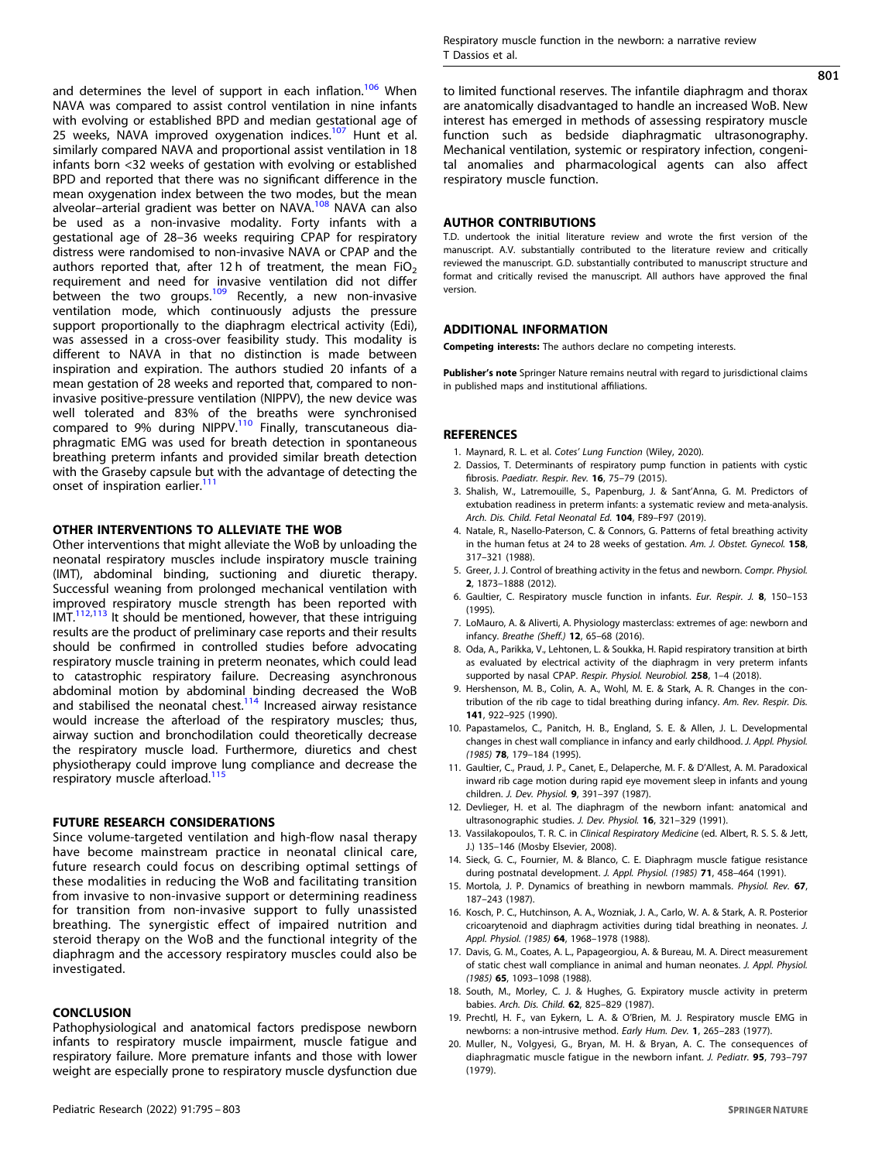<span id="page-6-0"></span>and determines the level of support in each inflation.<sup>[106](#page-8-0)</sup> When NAVA was compared to assist control ventilation in nine infants with evolving or established BPD and median gestational age of 25 weeks, NAVA improved oxygenation indices.<sup>[107](#page-8-0)</sup> Hunt et al. similarly compared NAVA and proportional assist ventilation in 18 infants born <32 weeks of gestation with evolving or established BPD and reported that there was no significant difference in the mean oxygenation index between the two modes, but the mean alveolar–arterial gradient was better on NAVA.<sup>[108](#page-8-0)</sup> NAVA can also be used as a non-invasive modality. Forty infants with a gestational age of 28–36 weeks requiring CPAP for respiratory distress were randomised to non-invasive NAVA or CPAP and the authors reported that, after 12 h of treatment, the mean FiO<sub>2</sub> requirement and need for invasive ventilation did not differ between the two groups.<sup>[109](#page-8-0)</sup> Recently, a new non-invasive ventilation mode, which continuously adjusts the pressure support proportionally to the diaphragm electrical activity (Edi), was assessed in a cross-over feasibility study. This modality is different to NAVA in that no distinction is made between inspiration and expiration. The authors studied 20 infants of a mean gestation of 28 weeks and reported that, compared to noninvasive positive-pressure ventilation (NIPPV), the new device was well tolerated and 83% of the breaths were synchronised compared to 9% during NIPPV.<sup>[110](#page-8-0)</sup> Finally, transcutaneous diaphragmatic EMG was used for breath detection in spontaneous breathing preterm infants and provided similar breath detection with the Graseby capsule but with the advantage of detecting the onset of inspiration earlier.<sup>[111](#page-8-0)</sup>

# OTHER INTERVENTIONS TO ALLEVIATE THE WOB

Other interventions that might alleviate the WoB by unloading the neonatal respiratory muscles include inspiratory muscle training (IMT), abdominal binding, suctioning and diuretic therapy. Successful weaning from prolonged mechanical ventilation with improved respiratory muscle strength has been reported with IMT[.112,113](#page-8-0) It should be mentioned, however, that these intriguing results are the product of preliminary case reports and their results should be confirmed in controlled studies before advocating respiratory muscle training in preterm neonates, which could lead to catastrophic respiratory failure. Decreasing asynchronous abdominal motion by abdominal binding decreased the WoB and stabilised the neonatal chest.<sup>[114](#page-8-0)</sup> Increased airway resistance would increase the afterload of the respiratory muscles; thus, airway suction and bronchodilation could theoretically decrease the respiratory muscle load. Furthermore, diuretics and chest physiotherapy could improve lung compliance and decrease the respiratory muscle afterload.<sup>[115](#page-8-0)</sup>

# FUTURE RESEARCH CONSIDERATIONS

Since volume-targeted ventilation and high-flow nasal therapy have become mainstream practice in neonatal clinical care, future research could focus on describing optimal settings of these modalities in reducing the WoB and facilitating transition from invasive to non-invasive support or determining readiness for transition from non-invasive support to fully unassisted breathing. The synergistic effect of impaired nutrition and steroid therapy on the WoB and the functional integrity of the diaphragm and the accessory respiratory muscles could also be investigated.

#### **CONCLUSION**

Pathophysiological and anatomical factors predispose newborn infants to respiratory muscle impairment, muscle fatigue and respiratory failure. More premature infants and those with lower weight are especially prone to respiratory muscle dysfunction due 801

to limited functional reserves. The infantile diaphragm and thorax are anatomically disadvantaged to handle an increased WoB. New interest has emerged in methods of assessing respiratory muscle function such as bedside diaphragmatic ultrasonography. Mechanical ventilation, systemic or respiratory infection, congenital anomalies and pharmacological agents can also affect respiratory muscle function.

### AUTHOR CONTRIBUTIONS

T.D. undertook the initial literature review and wrote the first version of the manuscript. A.V. substantially contributed to the literature review and critically reviewed the manuscript. G.D. substantially contributed to manuscript structure and format and critically revised the manuscript. All authors have approved the final version.

# ADDITIONAL INFORMATION

Competing interests: The authors declare no competing interests.

Publisher's note Springer Nature remains neutral with regard to jurisdictional claims in published maps and institutional affiliations.

# **REFERENCES**

- 1. Maynard, R. L. et al. Cotes' Lung Function (Wiley, 2020).
- 2. Dassios, T. Determinants of respiratory pump function in patients with cystic fibrosis. Paediatr. Respir. Rev. 16, 75–79 (2015).
- 3. Shalish, W., Latremouille, S., Papenburg, J. & Sant'Anna, G. M. Predictors of extubation readiness in preterm infants: a systematic review and meta-analysis. Arch. Dis. Child. Fetal Neonatal Ed. 104, F89-F97 (2019).
- 4. Natale, R., Nasello-Paterson, C. & Connors, G. Patterns of fetal breathing activity in the human fetus at 24 to 28 weeks of gestation. Am. J. Obstet. Gynecol. 158, 317–321 (1988).
- 5. Greer, J. J. Control of breathing activity in the fetus and newborn. Compr. Physiol. 2, 1873–1888 (2012).
- 6. Gaultier, C. Respiratory muscle function in infants. Eur. Respir. J. 8, 150–153 (1995).
- 7. LoMauro, A. & Aliverti, A. Physiology masterclass: extremes of age: newborn and infancy. Breathe (Sheff.) 12, 65–68 (2016).
- 8. Oda, A., Parikka, V., Lehtonen, L. & Soukka, H. Rapid respiratory transition at birth as evaluated by electrical activity of the diaphragm in very preterm infants supported by nasal CPAP. Respir. Physiol. Neurobiol. 258, 1-4 (2018).
- 9. Hershenson, M. B., Colin, A. A., Wohl, M. E. & Stark, A. R. Changes in the contribution of the rib cage to tidal breathing during infancy. Am. Rev. Respir. Dis. 141, 922–925 (1990).
- 10. Papastamelos, C., Panitch, H. B., England, S. E. & Allen, J. L. Developmental changes in chest wall compliance in infancy and early childhood. J. Appl. Physiol. (1985) 78, 179–184 (1995).
- 11. Gaultier, C., Praud, J. P., Canet, E., Delaperche, M. F. & D'Allest, A. M. Paradoxical inward rib cage motion during rapid eye movement sleep in infants and young children. J. Dev. Physiol. 9, 391–397 (1987).
- 12. Devlieger, H. et al. The diaphragm of the newborn infant: anatomical and ultrasonographic studies. J. Dev. Physiol. 16, 321–329 (1991).
- 13. Vassilakopoulos, T. R. C. in Clinical Respiratory Medicine (ed. Albert, R. S. S. & Jett, J.) 135–146 (Mosby Elsevier, 2008).
- 14. Sieck, G. C., Fournier, M. & Blanco, C. E. Diaphragm muscle fatigue resistance during postnatal development. J. Appl. Physiol. (1985) 71, 458-464 (1991).
- 15. Mortola, J. P. Dynamics of breathing in newborn mammals. Physiol. Rev. 67, 187–243 (1987).
- 16. Kosch, P. C., Hutchinson, A. A., Wozniak, J. A., Carlo, W. A. & Stark, A. R. Posterior cricoarytenoid and diaphragm activities during tidal breathing in neonates. J. Appl. Physiol. (1985) 64, 1968-1978 (1988).
- 17. Davis, G. M., Coates, A. L., Papageorgiou, A. & Bureau, M. A. Direct measurement of static chest wall compliance in animal and human neonates. J. Appl. Physiol. (1985) 65, 1093–1098 (1988).
- 18. South, M., Morley, C. J. & Hughes, G. Expiratory muscle activity in preterm babies. Arch. Dis. Child. 62, 825–829 (1987).
- 19. Prechtl, H. F., van Eykern, L. A. & O'Brien, M. J. Respiratory muscle EMG in newborns: a non-intrusive method. Early Hum. Dev. 1, 265–283 (1977).
- 20. Muller, N., Volgyesi, G., Bryan, M. H. & Bryan, A. C. The consequences of diaphragmatic muscle fatigue in the newborn infant. J. Pediatr. 95, 793–797 (1979).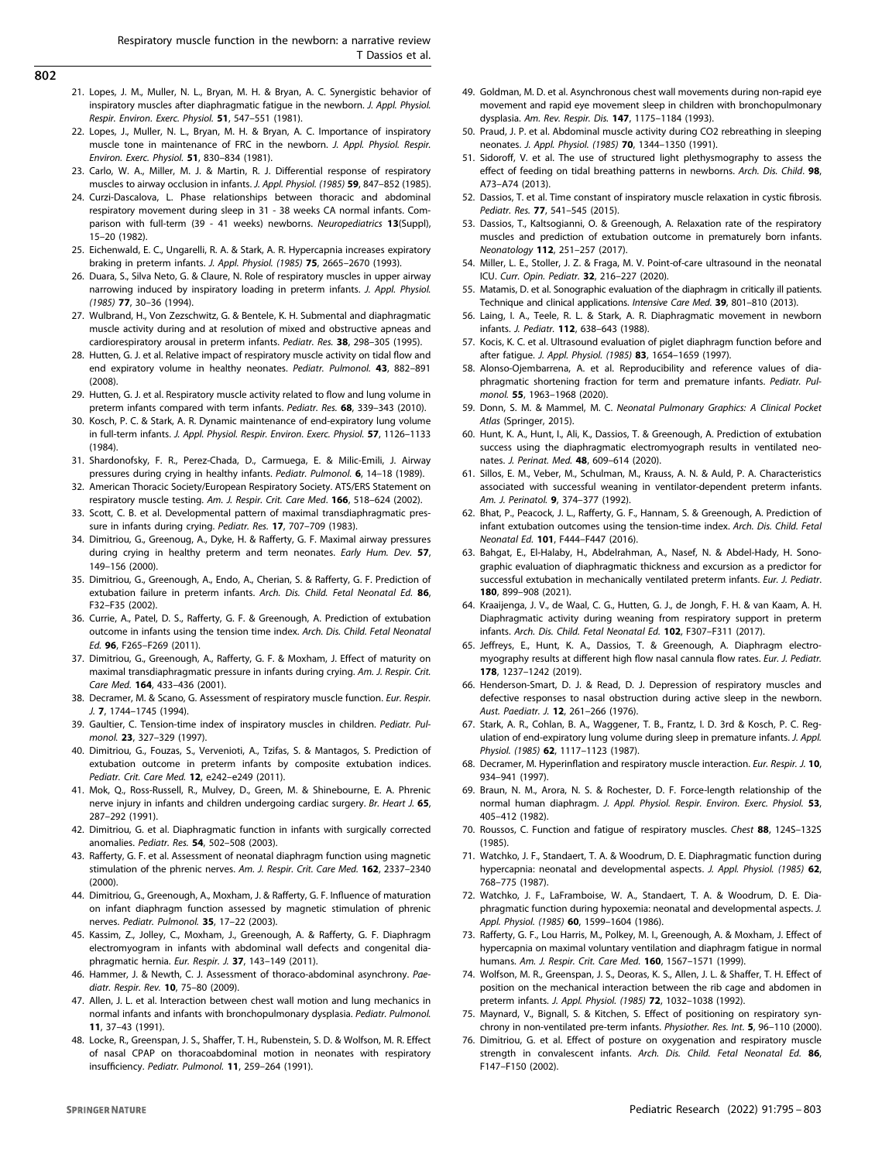- <span id="page-7-0"></span>802
- 21. Lopes, J. M., Muller, N. L., Bryan, M. H. & Bryan, A. C. Synergistic behavior of inspiratory muscles after diaphragmatic fatigue in the newborn. J. Appl. Physiol. Respir. Environ. Exerc. Physiol. 51, 547-551 (1981).
- 22. Lopes, J., Muller, N. L., Bryan, M. H. & Bryan, A. C. Importance of inspiratory muscle tone in maintenance of FRC in the newborn. J. Appl. Physiol. Respir. Environ. Exerc. Physiol. 51, 830–834 (1981).
- 23. Carlo, W. A., Miller, M. J. & Martin, R. J. Differential response of respiratory muscles to airway occlusion in infants. J. Appl. Physiol. (1985) 59, 847–852 (1985).
- 24. Curzi-Dascalova, L. Phase relationships between thoracic and abdominal respiratory movement during sleep in 31 - 38 weeks CA normal infants. Comparison with full-term (39 - 41 weeks) newborns. Neuropediatrics 13(Suppl), 15–20 (1982).
- 25. Eichenwald, E. C., Ungarelli, R. A. & Stark, A. R. Hypercapnia increases expiratory braking in preterm infants. J. Appl. Physiol. (1985) 75, 2665–2670 (1993).
- 26. Duara, S., Silva Neto, G. & Claure, N. Role of respiratory muscles in upper airway narrowing induced by inspiratory loading in preterm infants. J. Appl. Physiol. (1985) 77, 30–36 (1994).
- 27. Wulbrand, H., Von Zezschwitz, G. & Bentele, K. H. Submental and diaphragmatic muscle activity during and at resolution of mixed and obstructive apneas and cardiorespiratory arousal in preterm infants. Pediatr. Res. 38, 298–305 (1995).
- 28. Hutten, G. J. et al. Relative impact of respiratory muscle activity on tidal flow and end expiratory volume in healthy neonates. Pediatr. Pulmonol. 43, 882-891 (2008).
- 29. Hutten, G. J. et al. Respiratory muscle activity related to flow and lung volume in preterm infants compared with term infants. Pediatr. Res. 68, 339–343 (2010).
- 30. Kosch, P. C. & Stark, A. R. Dynamic maintenance of end-expiratory lung volume in full-term infants. J. Appl. Physiol. Respir. Environ. Exerc. Physiol. 57, 1126–1133 (1984).
- 31. Shardonofsky, F. R., Perez-Chada, D., Carmuega, E. & Milic-Emili, J. Airway pressures during crying in healthy infants. Pediatr. Pulmonol. 6, 14–18 (1989).
- 32. American Thoracic Society/European Respiratory Society. ATS/ERS Statement on respiratory muscle testing. Am. J. Respir. Crit. Care Med. 166, 518–624 (2002).
- 33. Scott, C. B. et al. Developmental pattern of maximal transdiaphragmatic pressure in infants during crying. Pediatr. Res. 17, 707–709 (1983).
- 34. Dimitriou, G., Greenoug, A., Dyke, H. & Rafferty, G. F. Maximal airway pressures during crying in healthy preterm and term neonates. Early Hum. Dev. 57, 149–156 (2000).
- 35. Dimitriou, G., Greenough, A., Endo, A., Cherian, S. & Rafferty, G. F. Prediction of extubation failure in preterm infants. Arch. Dis. Child. Fetal Neonatal Ed. 86, F32–F35 (2002).
- 36. Currie, A., Patel, D. S., Rafferty, G. F. & Greenough, A. Prediction of extubation outcome in infants using the tension time index. Arch. Dis. Child. Fetal Neonatal Ed. 96, F265–F269 (2011).
- 37. Dimitriou, G., Greenough, A., Rafferty, G. F. & Moxham, J. Effect of maturity on maximal transdiaphragmatic pressure in infants during crying. Am. J. Respir. Crit. Care Med. 164, 433–436 (2001).
- 38. Decramer, M. & Scano, G. Assessment of respiratory muscle function. Eur. Respir. J. 7, 1744–1745 (1994).
- 39. Gaultier, C. Tension-time index of inspiratory muscles in children. Pediatr. Pulmonol. 23, 327–329 (1997).
- 40. Dimitriou, G., Fouzas, S., Vervenioti, A., Tzifas, S. & Mantagos, S. Prediction of extubation outcome in preterm infants by composite extubation indices. Pediatr. Crit. Care Med. 12, e242–e249 (2011).
- 41. Mok, Q., Ross-Russell, R., Mulvey, D., Green, M. & Shinebourne, E. A. Phrenic nerve injury in infants and children undergoing cardiac surgery. Br. Heart J. 65, 287–292 (1991).
- 42. Dimitriou, G. et al. Diaphragmatic function in infants with surgically corrected anomalies. Pediatr. Res. 54, 502–508 (2003).
- 43. Rafferty, G. F. et al. Assessment of neonatal diaphragm function using magnetic stimulation of the phrenic nerves. Am. J. Respir. Crit. Care Med. 162, 2337-2340 (2000).
- 44. Dimitriou, G., Greenough, A., Moxham, J. & Rafferty, G. F. Influence of maturation on infant diaphragm function assessed by magnetic stimulation of phrenic nerves. Pediatr. Pulmonol. 35, 17–22 (2003).
- 45. Kassim, Z., Jolley, C., Moxham, J., Greenough, A. & Rafferty, G. F. Diaphragm electromyogram in infants with abdominal wall defects and congenital diaphragmatic hernia. Eur. Respir. J. 37, 143–149 (2011).
- 46. Hammer, J. & Newth, C. J. Assessment of thoraco-abdominal asynchrony. Paediatr. Respir. Rev. **10**, 75-80 (2009).
- 47. Allen, J. L. et al. Interaction between chest wall motion and lung mechanics in normal infants and infants with bronchopulmonary dysplasia. Pediatr. Pulmonol. 11, 37–43 (1991).
- 48. Locke, R., Greenspan, J. S., Shaffer, T. H., Rubenstein, S. D. & Wolfson, M. R. Effect of nasal CPAP on thoracoabdominal motion in neonates with respiratory insufficiency. Pediatr. Pulmonol. 11, 259–264 (1991).
- 49. Goldman, M. D. et al. Asynchronous chest wall movements during non-rapid eye movement and rapid eye movement sleep in children with bronchopulmonary dysplasia. Am. Rev. Respir. Dis. 147, 1175–1184 (1993).
- 50. Praud, J. P. et al. Abdominal muscle activity during CO2 rebreathing in sleeping neonates. J. Appl. Physiol. (1985) 70, 1344–1350 (1991).
- 51. Sidoroff, V. et al. The use of structured light plethysmography to assess the effect of feeding on tidal breathing patterns in newborns. Arch. Dis. Child. 98, A73–A74 (2013).
- 52. Dassios, T. et al. Time constant of inspiratory muscle relaxation in cystic fibrosis. Pediatr. Res. 77, 541–545 (2015).
- 53. Dassios, T., Kaltsogianni, O. & Greenough, A. Relaxation rate of the respiratory muscles and prediction of extubation outcome in prematurely born infants. Neonatology 112, 251–257 (2017).
- 54. Miller, L. E., Stoller, J. Z. & Fraga, M. V. Point-of-care ultrasound in the neonatal ICU. Curr. Opin. Pediatr. 32, 216–227 (2020).
- 55. Matamis, D. et al. Sonographic evaluation of the diaphragm in critically ill patients. Technique and clinical applications. Intensive Care Med. 39, 801–810 (2013).
- 56. Laing, I. A., Teele, R. L. & Stark, A. R. Diaphragmatic movement in newborn infants. J. Pediatr. 112, 638–643 (1988).
- 57. Kocis, K. C. et al. Ultrasound evaluation of piglet diaphragm function before and after fatigue. J. Appl. Physiol. (1985) 83, 1654–1659 (1997).
- 58. Alonso-Ojembarrena, A. et al. Reproducibility and reference values of diaphragmatic shortening fraction for term and premature infants. Pediatr. Pulmonol. 55, 1963–1968 (2020).
- 59. Donn, S. M. & Mammel, M. C. Neonatal Pulmonary Graphics: A Clinical Pocket Atlas (Springer, 2015).
- 60. Hunt, K. A., Hunt, I., Ali, K., Dassios, T. & Greenough, A. Prediction of extubation success using the diaphragmatic electromyograph results in ventilated neonates. J. Perinat. Med. 48, 609–614 (2020).
- 61. Sillos, E. M., Veber, M., Schulman, M., Krauss, A. N. & Auld, P. A. Characteristics associated with successful weaning in ventilator-dependent preterm infants. Am. J. Perinatol. 9, 374–377 (1992).
- 62. Bhat, P., Peacock, J. L., Rafferty, G. F., Hannam, S. & Greenough, A. Prediction of infant extubation outcomes using the tension-time index. Arch. Dis. Child. Fetal Neonatal Ed. 101, F444–F447 (2016).
- 63. Bahgat, E., El-Halaby, H., Abdelrahman, A., Nasef, N. & Abdel-Hady, H. Sonographic evaluation of diaphragmatic thickness and excursion as a predictor for successful extubation in mechanically ventilated preterm infants. Eur. J. Pediatr. 180, 899–908 (2021).
- 64. Kraaijenga, J. V., de Waal, C. G., Hutten, G. J., de Jongh, F. H. & van Kaam, A. H. Diaphragmatic activity during weaning from respiratory support in preterm infants. Arch. Dis. Child. Fetal Neonatal Ed. 102, F307–F311 (2017).
- 65. Jeffreys, E., Hunt, K. A., Dassios, T. & Greenough, A. Diaphragm electromyography results at different high flow nasal cannula flow rates. Eur. J. Pediatr. 178, 1237–1242 (2019).
- 66. Henderson-Smart, D. J. & Read, D. J. Depression of respiratory muscles and defective responses to nasal obstruction during active sleep in the newborn. Aust. Paediatr. J. 12, 261–266 (1976).
- 67. Stark, A. R., Cohlan, B. A., Waggener, T. B., Frantz, I. D. 3rd & Kosch, P. C. Regulation of end-expiratory lung volume during sleep in premature infants. J. Appl. Physiol. (1985) 62, 1117–1123 (1987).
- 68. Decramer, M. Hyperinflation and respiratory muscle interaction. Eur. Respir. J. 10, 934–941 (1997).
- 69. Braun, N. M., Arora, N. S. & Rochester, D. F. Force-length relationship of the normal human diaphragm. J. Appl. Physiol. Respir. Environ. Exerc. Physiol. 53, 405–412 (1982).
- 70. Roussos, C. Function and fatigue of respiratory muscles. Chest 88, 124S–132S (1985).
- 71. Watchko, J. F., Standaert, T. A. & Woodrum, D. E. Diaphragmatic function during hypercapnia: neonatal and developmental aspects. J. Appl. Physiol. (1985) 62, 768–775 (1987).
- 72. Watchko, J. F., LaFramboise, W. A., Standaert, T. A. & Woodrum, D. E. Diaphragmatic function during hypoxemia: neonatal and developmental aspects. J. Appl. Physiol. (1985) 60, 1599-1604 (1986).
- 73. Rafferty, G. F., Lou Harris, M., Polkey, M. I., Greenough, A. & Moxham, J. Effect of hypercapnia on maximal voluntary ventilation and diaphragm fatigue in normal humans. Am. J. Respir. Crit. Care Med. 160, 1567–1571 (1999).
- 74. Wolfson, M. R., Greenspan, J. S., Deoras, K. S., Allen, J. L. & Shaffer, T. H. Effect of position on the mechanical interaction between the rib cage and abdomen in preterm infants. J. Appl. Physiol. (1985) 72, 1032–1038 (1992).
- 75. Maynard, V., Bignall, S. & Kitchen, S. Effect of positioning on respiratory synchrony in non-ventilated pre-term infants. Physiother. Res. Int. 5, 96–110 (2000).
- 76. Dimitriou, G. et al. Effect of posture on oxygenation and respiratory muscle strength in convalescent infants. Arch. Dis. Child. Fetal Neonatal Ed. 86, F147–F150 (2002).